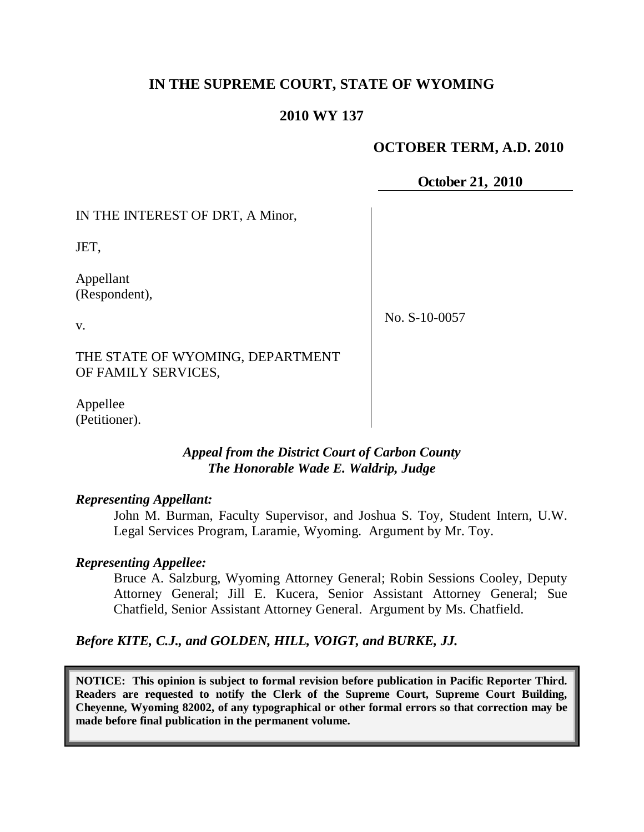# **IN THE SUPREME COURT, STATE OF WYOMING**

### **2010 WY 137**

## **OCTOBER TERM, A.D. 2010**

**October 21, 2010**

IN THE INTEREST OF DRT, A Minor,

JET,

v.

Appellant (Respondent),

No. S-10-0057

THE STATE OF WYOMING, DEPARTMENT OF FAMILY SERVICES,

Appellee (Petitioner).

# *Appeal from the District Court of Carbon County The Honorable Wade E. Waldrip, Judge*

### *Representing Appellant:*

John M. Burman, Faculty Supervisor, and Joshua S. Toy, Student Intern, U.W. Legal Services Program, Laramie, Wyoming. Argument by Mr. Toy.

### *Representing Appellee:*

Bruce A. Salzburg, Wyoming Attorney General; Robin Sessions Cooley, Deputy Attorney General; Jill E. Kucera, Senior Assistant Attorney General; Sue Chatfield, Senior Assistant Attorney General. Argument by Ms. Chatfield.

*Before KITE, C.J., and GOLDEN, HILL, VOIGT, and BURKE, JJ.*

**NOTICE: This opinion is subject to formal revision before publication in Pacific Reporter Third. Readers are requested to notify the Clerk of the Supreme Court, Supreme Court Building, Cheyenne, Wyoming 82002, of any typographical or other formal errors so that correction may be made before final publication in the permanent volume.**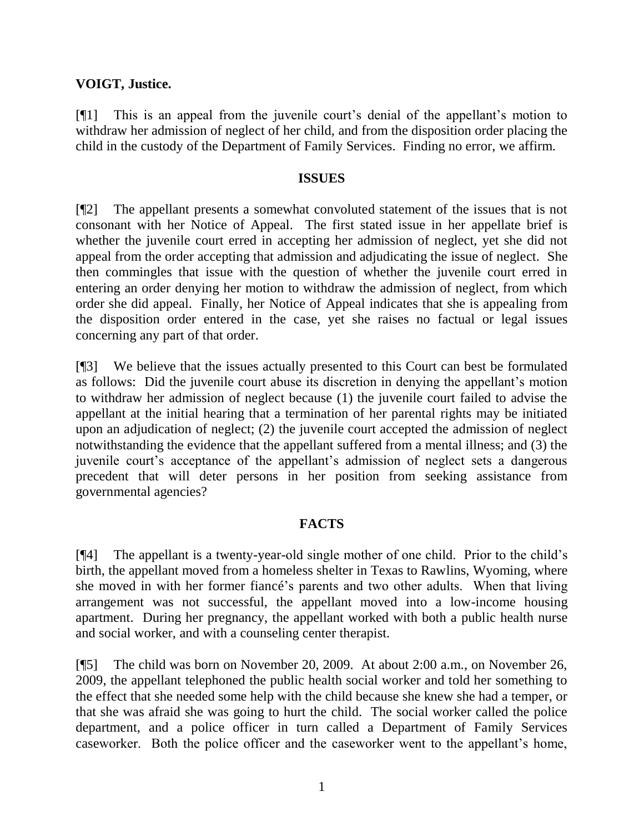## **VOIGT, Justice.**

[¶1] This is an appeal from the juvenile court's denial of the appellant's motion to withdraw her admission of neglect of her child, and from the disposition order placing the child in the custody of the Department of Family Services. Finding no error, we affirm.

#### **ISSUES**

[¶2] The appellant presents a somewhat convoluted statement of the issues that is not consonant with her Notice of Appeal. The first stated issue in her appellate brief is whether the juvenile court erred in accepting her admission of neglect, yet she did not appeal from the order accepting that admission and adjudicating the issue of neglect. She then commingles that issue with the question of whether the juvenile court erred in entering an order denying her motion to withdraw the admission of neglect, from which order she did appeal. Finally, her Notice of Appeal indicates that she is appealing from the disposition order entered in the case, yet she raises no factual or legal issues concerning any part of that order.

[¶3] We believe that the issues actually presented to this Court can best be formulated as follows: Did the juvenile court abuse its discretion in denying the appellant"s motion to withdraw her admission of neglect because (1) the juvenile court failed to advise the appellant at the initial hearing that a termination of her parental rights may be initiated upon an adjudication of neglect; (2) the juvenile court accepted the admission of neglect notwithstanding the evidence that the appellant suffered from a mental illness; and (3) the juvenile court's acceptance of the appellant's admission of neglect sets a dangerous precedent that will deter persons in her position from seeking assistance from governmental agencies?

# **FACTS**

[¶4] The appellant is a twenty-year-old single mother of one child. Prior to the child"s birth, the appellant moved from a homeless shelter in Texas to Rawlins, Wyoming, where she moved in with her former fiancé"s parents and two other adults. When that living arrangement was not successful, the appellant moved into a low-income housing apartment. During her pregnancy, the appellant worked with both a public health nurse and social worker, and with a counseling center therapist.

[¶5] The child was born on November 20, 2009. At about 2:00 a.m., on November 26, 2009, the appellant telephoned the public health social worker and told her something to the effect that she needed some help with the child because she knew she had a temper, or that she was afraid she was going to hurt the child. The social worker called the police department, and a police officer in turn called a Department of Family Services caseworker. Both the police officer and the caseworker went to the appellant"s home,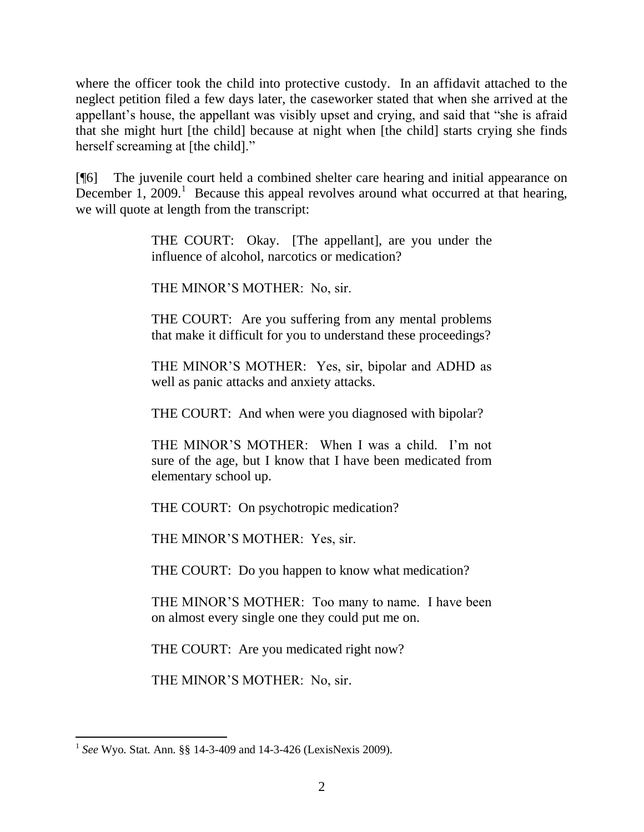where the officer took the child into protective custody. In an affidavit attached to the neglect petition filed a few days later, the caseworker stated that when she arrived at the appellant"s house, the appellant was visibly upset and crying, and said that "she is afraid that she might hurt [the child] because at night when [the child] starts crying she finds herself screaming at [the child]."

[¶6] The juvenile court held a combined shelter care hearing and initial appearance on December  $1, 2009$ .<sup>1</sup> Because this appeal revolves around what occurred at that hearing, we will quote at length from the transcript:

> THE COURT: Okay. [The appellant], are you under the influence of alcohol, narcotics or medication?

THE MINOR"S MOTHER: No, sir.

THE COURT: Are you suffering from any mental problems that make it difficult for you to understand these proceedings?

THE MINOR"S MOTHER: Yes, sir, bipolar and ADHD as well as panic attacks and anxiety attacks.

THE COURT: And when were you diagnosed with bipolar?

THE MINOR'S MOTHER: When I was a child. I'm not sure of the age, but I know that I have been medicated from elementary school up.

THE COURT: On psychotropic medication?

THE MINOR"S MOTHER: Yes, sir.

THE COURT: Do you happen to know what medication?

THE MINOR"S MOTHER: Too many to name. I have been on almost every single one they could put me on.

THE COURT: Are you medicated right now?

THE MINOR"S MOTHER: No, sir.

 1 *See* Wyo. Stat. Ann. §§ 14-3-409 and 14-3-426 (LexisNexis 2009).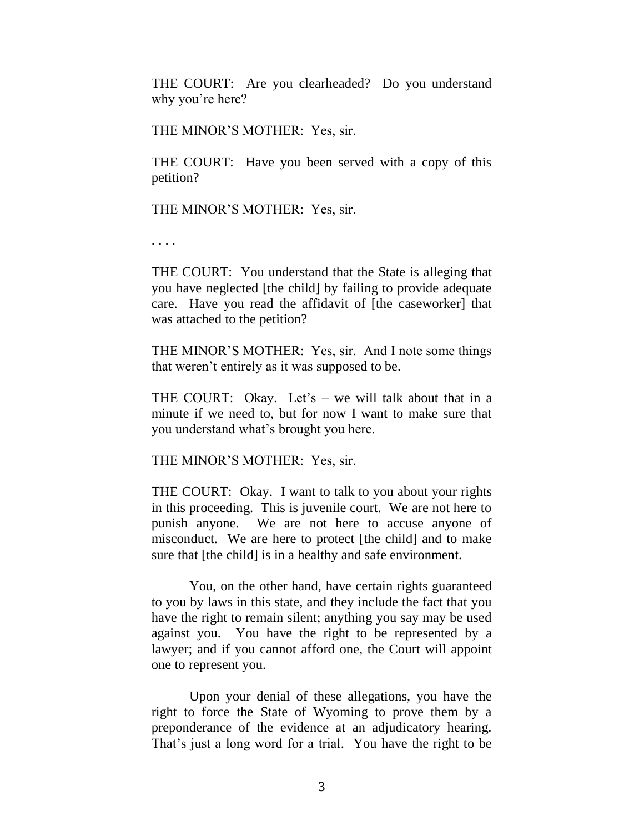THE COURT: Are you clearheaded? Do you understand why you're here?

THE MINOR"S MOTHER: Yes, sir.

THE COURT: Have you been served with a copy of this petition?

THE MINOR"S MOTHER: Yes, sir.

. . . .

THE COURT: You understand that the State is alleging that you have neglected [the child] by failing to provide adequate care. Have you read the affidavit of [the caseworker] that was attached to the petition?

THE MINOR"S MOTHER: Yes, sir. And I note some things that weren"t entirely as it was supposed to be.

THE COURT: Okay. Let's  $-$  we will talk about that in a minute if we need to, but for now I want to make sure that you understand what"s brought you here.

THE MINOR"S MOTHER: Yes, sir.

THE COURT: Okay. I want to talk to you about your rights in this proceeding. This is juvenile court. We are not here to punish anyone. We are not here to accuse anyone of misconduct. We are here to protect [the child] and to make sure that [the child] is in a healthy and safe environment.

You, on the other hand, have certain rights guaranteed to you by laws in this state, and they include the fact that you have the right to remain silent; anything you say may be used against you. You have the right to be represented by a lawyer; and if you cannot afford one, the Court will appoint one to represent you.

Upon your denial of these allegations, you have the right to force the State of Wyoming to prove them by a preponderance of the evidence at an adjudicatory hearing. That's just a long word for a trial. You have the right to be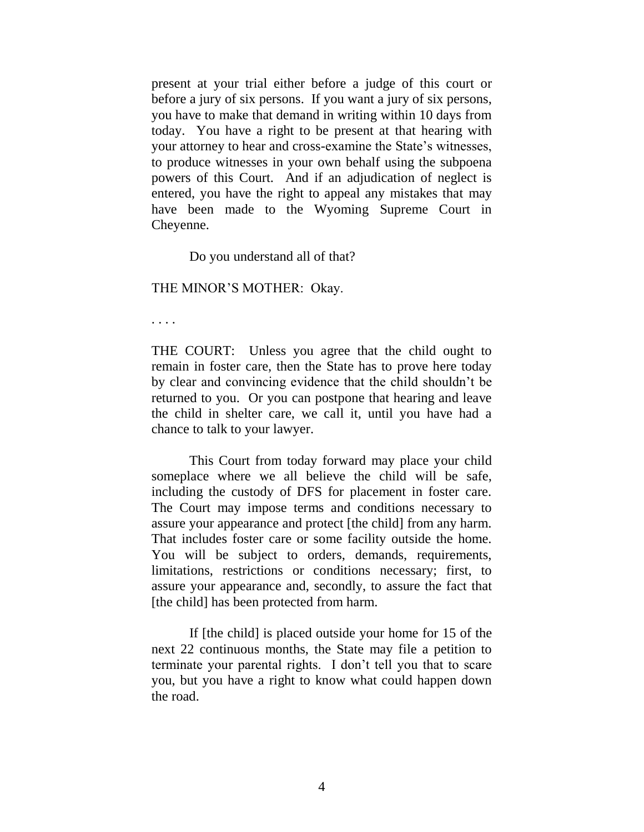present at your trial either before a judge of this court or before a jury of six persons. If you want a jury of six persons, you have to make that demand in writing within 10 days from today. You have a right to be present at that hearing with your attorney to hear and cross-examine the State"s witnesses, to produce witnesses in your own behalf using the subpoena powers of this Court. And if an adjudication of neglect is entered, you have the right to appeal any mistakes that may have been made to the Wyoming Supreme Court in Cheyenne.

Do you understand all of that?

THE MINOR"S MOTHER: Okay.

. . . .

THE COURT: Unless you agree that the child ought to remain in foster care, then the State has to prove here today by clear and convincing evidence that the child shouldn"t be returned to you. Or you can postpone that hearing and leave the child in shelter care, we call it, until you have had a chance to talk to your lawyer.

This Court from today forward may place your child someplace where we all believe the child will be safe, including the custody of DFS for placement in foster care. The Court may impose terms and conditions necessary to assure your appearance and protect [the child] from any harm. That includes foster care or some facility outside the home. You will be subject to orders, demands, requirements, limitations, restrictions or conditions necessary; first, to assure your appearance and, secondly, to assure the fact that [the child] has been protected from harm.

If [the child] is placed outside your home for 15 of the next 22 continuous months, the State may file a petition to terminate your parental rights. I don"t tell you that to scare you, but you have a right to know what could happen down the road.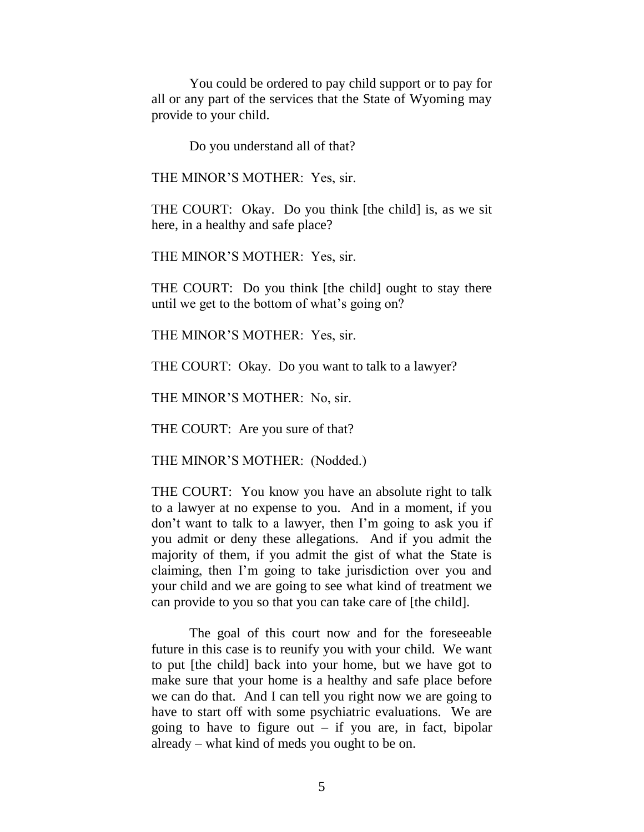You could be ordered to pay child support or to pay for all or any part of the services that the State of Wyoming may provide to your child.

Do you understand all of that?

THE MINOR"S MOTHER: Yes, sir.

THE COURT: Okay. Do you think [the child] is, as we sit here, in a healthy and safe place?

THE MINOR"S MOTHER: Yes, sir.

THE COURT: Do you think [the child] ought to stay there until we get to the bottom of what"s going on?

THE MINOR"S MOTHER: Yes, sir.

THE COURT: Okay. Do you want to talk to a lawyer?

THE MINOR"S MOTHER: No, sir.

THE COURT: Are you sure of that?

THE MINOR'S MOTHER: (Nodded.)

THE COURT: You know you have an absolute right to talk to a lawyer at no expense to you. And in a moment, if you don"t want to talk to a lawyer, then I"m going to ask you if you admit or deny these allegations. And if you admit the majority of them, if you admit the gist of what the State is claiming, then I"m going to take jurisdiction over you and your child and we are going to see what kind of treatment we can provide to you so that you can take care of [the child].

The goal of this court now and for the foreseeable future in this case is to reunify you with your child. We want to put [the child] back into your home, but we have got to make sure that your home is a healthy and safe place before we can do that. And I can tell you right now we are going to have to start off with some psychiatric evaluations. We are going to have to figure out  $-$  if you are, in fact, bipolar already – what kind of meds you ought to be on.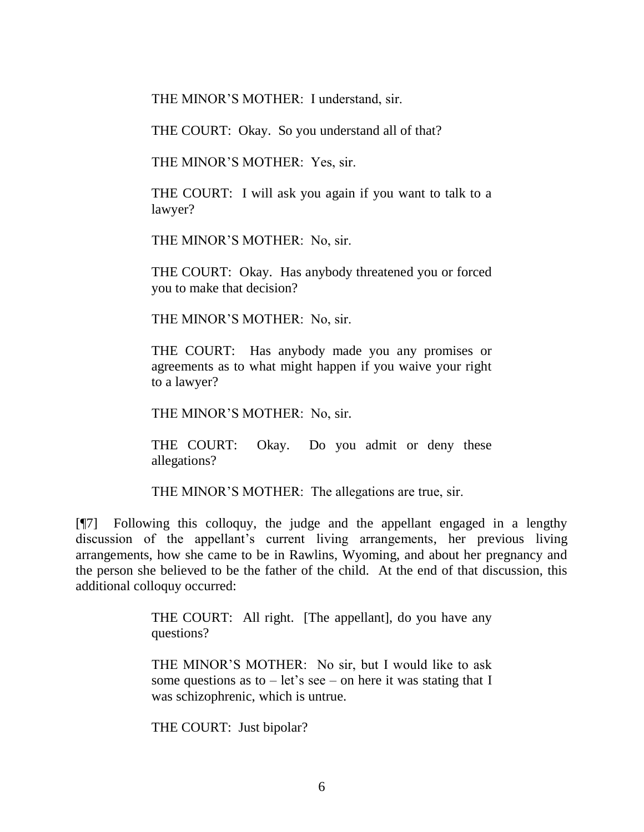THE MINOR"S MOTHER: I understand, sir.

THE COURT: Okay. So you understand all of that?

THE MINOR"S MOTHER: Yes, sir.

THE COURT: I will ask you again if you want to talk to a lawyer?

THE MINOR"S MOTHER: No, sir.

THE COURT: Okay. Has anybody threatened you or forced you to make that decision?

THE MINOR"S MOTHER: No, sir.

THE COURT: Has anybody made you any promises or agreements as to what might happen if you waive your right to a lawyer?

THE MINOR"S MOTHER: No, sir.

THE COURT: Okay. Do you admit or deny these allegations?

THE MINOR'S MOTHER: The allegations are true, sir.

[¶7] Following this colloquy, the judge and the appellant engaged in a lengthy discussion of the appellant"s current living arrangements, her previous living arrangements, how she came to be in Rawlins, Wyoming, and about her pregnancy and the person she believed to be the father of the child. At the end of that discussion, this additional colloquy occurred:

> THE COURT: All right. [The appellant], do you have any questions?

> THE MINOR"S MOTHER: No sir, but I would like to ask some questions as to  $-$  let's see  $-$  on here it was stating that I was schizophrenic, which is untrue.

THE COURT: Just bipolar?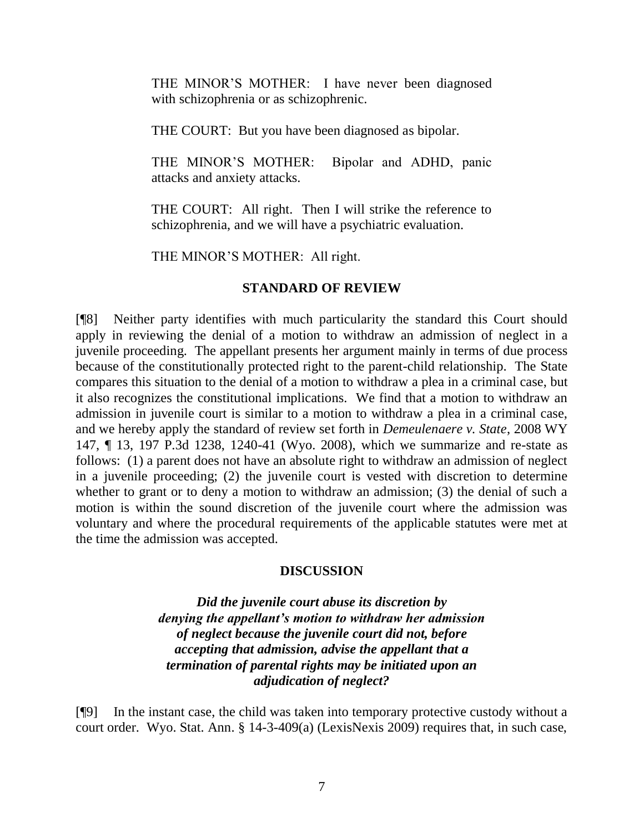THE MINOR"S MOTHER: I have never been diagnosed with schizophrenia or as schizophrenic.

THE COURT: But you have been diagnosed as bipolar.

THE MINOR"S MOTHER: Bipolar and ADHD, panic attacks and anxiety attacks.

THE COURT: All right. Then I will strike the reference to schizophrenia, and we will have a psychiatric evaluation.

THE MINOR"S MOTHER: All right.

#### **STANDARD OF REVIEW**

[¶8] Neither party identifies with much particularity the standard this Court should apply in reviewing the denial of a motion to withdraw an admission of neglect in a juvenile proceeding. The appellant presents her argument mainly in terms of due process because of the constitutionally protected right to the parent-child relationship. The State compares this situation to the denial of a motion to withdraw a plea in a criminal case, but it also recognizes the constitutional implications. We find that a motion to withdraw an admission in juvenile court is similar to a motion to withdraw a plea in a criminal case, and we hereby apply the standard of review set forth in *Demeulenaere v. State*, 2008 WY 147, ¶ 13, 197 P.3d 1238, 1240-41 (Wyo. 2008), which we summarize and re-state as follows: (1) a parent does not have an absolute right to withdraw an admission of neglect in a juvenile proceeding; (2) the juvenile court is vested with discretion to determine whether to grant or to deny a motion to withdraw an admission; (3) the denial of such a motion is within the sound discretion of the juvenile court where the admission was voluntary and where the procedural requirements of the applicable statutes were met at the time the admission was accepted.

#### **DISCUSSION**

*Did the juvenile court abuse its discretion by denying the appellant's motion to withdraw her admission of neglect because the juvenile court did not, before accepting that admission, advise the appellant that a termination of parental rights may be initiated upon an adjudication of neglect?*

[¶9] In the instant case, the child was taken into temporary protective custody without a court order. Wyo. Stat. Ann. § 14-3-409(a) (LexisNexis 2009) requires that, in such case,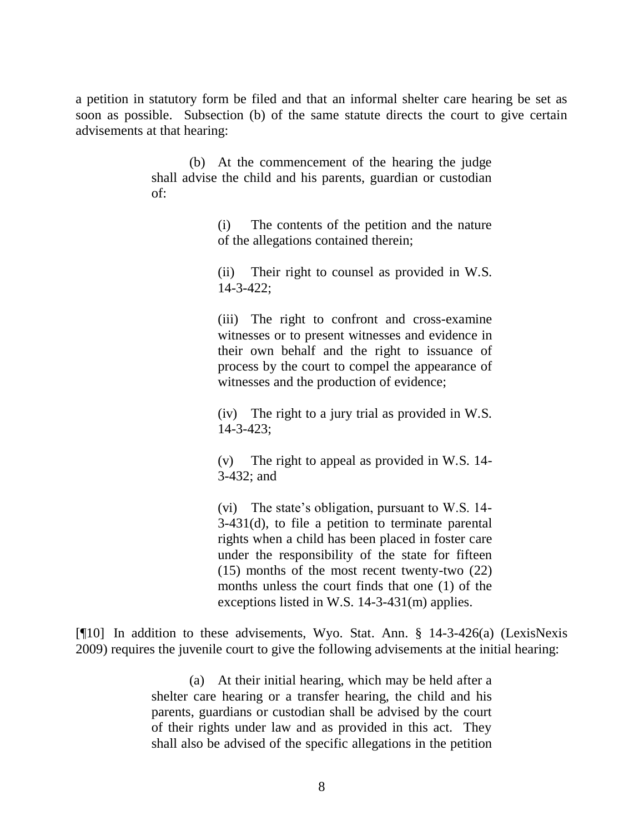a petition in statutory form be filed and that an informal shelter care hearing be set as soon as possible. Subsection (b) of the same statute directs the court to give certain advisements at that hearing:

> (b) At the commencement of the hearing the judge shall advise the child and his parents, guardian or custodian of:

> > (i) The contents of the petition and the nature of the allegations contained therein;

> > (ii) Their right to counsel as provided in W.S. 14-3-422;

> > (iii) The right to confront and cross-examine witnesses or to present witnesses and evidence in their own behalf and the right to issuance of process by the court to compel the appearance of witnesses and the production of evidence;

> > (iv) The right to a jury trial as provided in W.S. 14-3-423;

> > (v) The right to appeal as provided in W.S. 14- 3-432; and

> > (vi) The state's obligation, pursuant to W.S. 14-3-431(d), to file a petition to terminate parental rights when a child has been placed in foster care under the responsibility of the state for fifteen (15) months of the most recent twenty-two (22) months unless the court finds that one (1) of the exceptions listed in W.S. 14-3-431(m) applies.

[¶10] In addition to these advisements, Wyo. Stat. Ann. § 14-3-426(a) (LexisNexis 2009) requires the juvenile court to give the following advisements at the initial hearing:

> (a) At their initial hearing, which may be held after a shelter care hearing or a transfer hearing, the child and his parents, guardians or custodian shall be advised by the court of their rights under law and as provided in this act. They shall also be advised of the specific allegations in the petition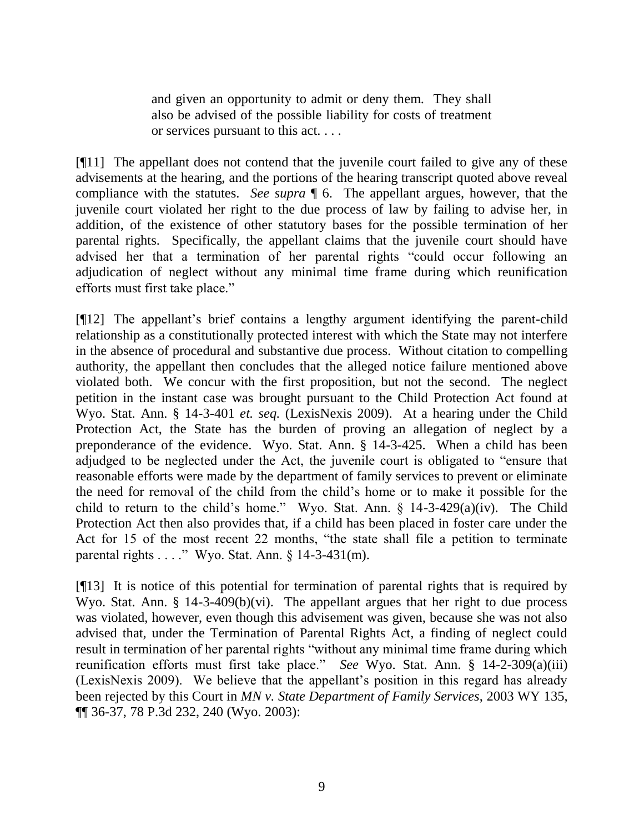and given an opportunity to admit or deny them. They shall also be advised of the possible liability for costs of treatment or services pursuant to this act. . . .

[¶11] The appellant does not contend that the juvenile court failed to give any of these advisements at the hearing, and the portions of the hearing transcript quoted above reveal compliance with the statutes. *See supra* ¶ 6. The appellant argues, however, that the juvenile court violated her right to the due process of law by failing to advise her, in addition, of the existence of other statutory bases for the possible termination of her parental rights. Specifically, the appellant claims that the juvenile court should have advised her that a termination of her parental rights "could occur following an adjudication of neglect without any minimal time frame during which reunification efforts must first take place."

[¶12] The appellant"s brief contains a lengthy argument identifying the parent-child relationship as a constitutionally protected interest with which the State may not interfere in the absence of procedural and substantive due process. Without citation to compelling authority, the appellant then concludes that the alleged notice failure mentioned above violated both. We concur with the first proposition, but not the second. The neglect petition in the instant case was brought pursuant to the Child Protection Act found at Wyo. Stat. Ann. § 14-3-401 *et. seq.* (LexisNexis 2009). At a hearing under the Child Protection Act, the State has the burden of proving an allegation of neglect by a preponderance of the evidence. Wyo. Stat. Ann. § 14-3-425. When a child has been adjudged to be neglected under the Act, the juvenile court is obligated to "ensure that reasonable efforts were made by the department of family services to prevent or eliminate the need for removal of the child from the child"s home or to make it possible for the child to return to the child's home." Wyo. Stat. Ann.  $\S$  14-3-429(a)(iv). The Child Protection Act then also provides that, if a child has been placed in foster care under the Act for 15 of the most recent 22 months, "the state shall file a petition to terminate parental rights . . . ." Wyo. Stat. Ann. § 14-3-431(m).

[¶13] It is notice of this potential for termination of parental rights that is required by Wyo. Stat. Ann. § 14-3-409(b)(vi). The appellant argues that her right to due process was violated, however, even though this advisement was given, because she was not also advised that, under the Termination of Parental Rights Act, a finding of neglect could result in termination of her parental rights "without any minimal time frame during which reunification efforts must first take place." *See* Wyo. Stat. Ann. § 14-2-309(a)(iii) (LexisNexis 2009). We believe that the appellant"s position in this regard has already been rejected by this Court in *MN v. State Department of Family Services*, 2003 WY 135, ¶¶ 36-37, 78 P.3d 232, 240 (Wyo. 2003):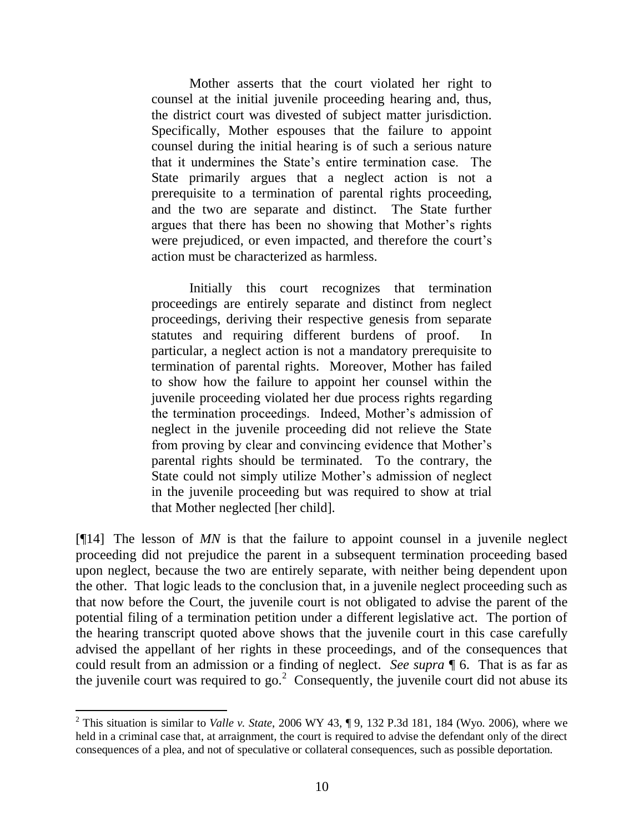Mother asserts that the court violated her right to counsel at the initial juvenile proceeding hearing and, thus, the district court was divested of subject matter jurisdiction. Specifically, Mother espouses that the failure to appoint counsel during the initial hearing is of such a serious nature that it undermines the State"s entire termination case. The State primarily argues that a neglect action is not a prerequisite to a termination of parental rights proceeding, and the two are separate and distinct. The State further argues that there has been no showing that Mother"s rights were prejudiced, or even impacted, and therefore the court's action must be characterized as harmless.

Initially this court recognizes that termination proceedings are entirely separate and distinct from neglect proceedings, deriving their respective genesis from separate statutes and requiring different burdens of proof. In particular, a neglect action is not a mandatory prerequisite to termination of parental rights. Moreover, Mother has failed to show how the failure to appoint her counsel within the juvenile proceeding violated her due process rights regarding the termination proceedings. Indeed, Mother"s admission of neglect in the juvenile proceeding did not relieve the State from proving by clear and convincing evidence that Mother"s parental rights should be terminated. To the contrary, the State could not simply utilize Mother"s admission of neglect in the juvenile proceeding but was required to show at trial that Mother neglected [her child].

[¶14] The lesson of *MN* is that the failure to appoint counsel in a juvenile neglect proceeding did not prejudice the parent in a subsequent termination proceeding based upon neglect, because the two are entirely separate, with neither being dependent upon the other. That logic leads to the conclusion that, in a juvenile neglect proceeding such as that now before the Court, the juvenile court is not obligated to advise the parent of the potential filing of a termination petition under a different legislative act. The portion of the hearing transcript quoted above shows that the juvenile court in this case carefully advised the appellant of her rights in these proceedings, and of the consequences that could result from an admission or a finding of neglect. *See supra* ¶ 6. That is as far as the juvenile court was required to go.<sup>2</sup> Consequently, the juvenile court did not abuse its

<sup>2</sup> This situation is similar to *Valle v. State*, 2006 WY 43, ¶ 9, 132 P.3d 181, 184 (Wyo. 2006), where we held in a criminal case that, at arraignment, the court is required to advise the defendant only of the direct consequences of a plea, and not of speculative or collateral consequences, such as possible deportation.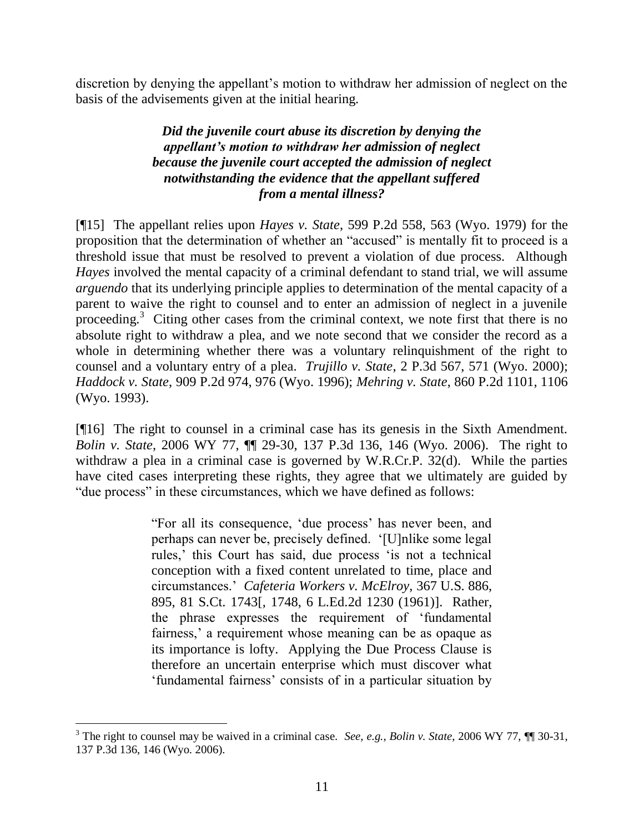discretion by denying the appellant's motion to withdraw her admission of neglect on the basis of the advisements given at the initial hearing.

# *Did the juvenile court abuse its discretion by denying the appellant's motion to withdraw her admission of neglect because the juvenile court accepted the admission of neglect notwithstanding the evidence that the appellant suffered from a mental illness?*

[¶15] The appellant relies upon *Hayes v. State*, 599 P.2d 558, 563 (Wyo. 1979) for the proposition that the determination of whether an "accused" is mentally fit to proceed is a threshold issue that must be resolved to prevent a violation of due process. Although *Hayes* involved the mental capacity of a criminal defendant to stand trial, we will assume *arguendo* that its underlying principle applies to determination of the mental capacity of a parent to waive the right to counsel and to enter an admission of neglect in a juvenile proceeding.<sup>3</sup> Citing other cases from the criminal context, we note first that there is no absolute right to withdraw a plea, and we note second that we consider the record as a whole in determining whether there was a voluntary relinquishment of the right to counsel and a voluntary entry of a plea. *Trujillo v. State*, 2 P.3d 567, 571 (Wyo. 2000); *Haddock v. State*, 909 P.2d 974, 976 (Wyo. 1996); *Mehring v. State*, 860 P.2d 1101, 1106 (Wyo. 1993).

[¶16] The right to counsel in a criminal case has its genesis in the Sixth Amendment. *Bolin v. State*, 2006 WY 77, ¶¶ 29-30, 137 P.3d 136, 146 (Wyo. 2006). The right to withdraw a plea in a criminal case is governed by W.R.Cr.P. 32(d). While the parties have cited cases interpreting these rights, they agree that we ultimately are guided by "due process" in these circumstances, which we have defined as follows:

> "For all its consequence, "due process" has never been, and perhaps can never be, precisely defined. "[U]nlike some legal rules," this Court has said, due process "is not a technical conception with a fixed content unrelated to time, place and circumstances." *Cafeteria Workers v. McElroy,* 367 U.S. 886, 895, 81 S.Ct. 1743[, 1748, 6 L.Ed.2d 1230 (1961)]. Rather, the phrase expresses the requirement of "fundamental fairness,' a requirement whose meaning can be as opaque as its importance is lofty. Applying the Due Process Clause is therefore an uncertain enterprise which must discover what "fundamental fairness" consists of in a particular situation by

<sup>3</sup> The right to counsel may be waived in a criminal case. *See, e.g.*, *Bolin v. State*, 2006 WY 77, ¶¶ 30-31, 137 P.3d 136, 146 (Wyo. 2006).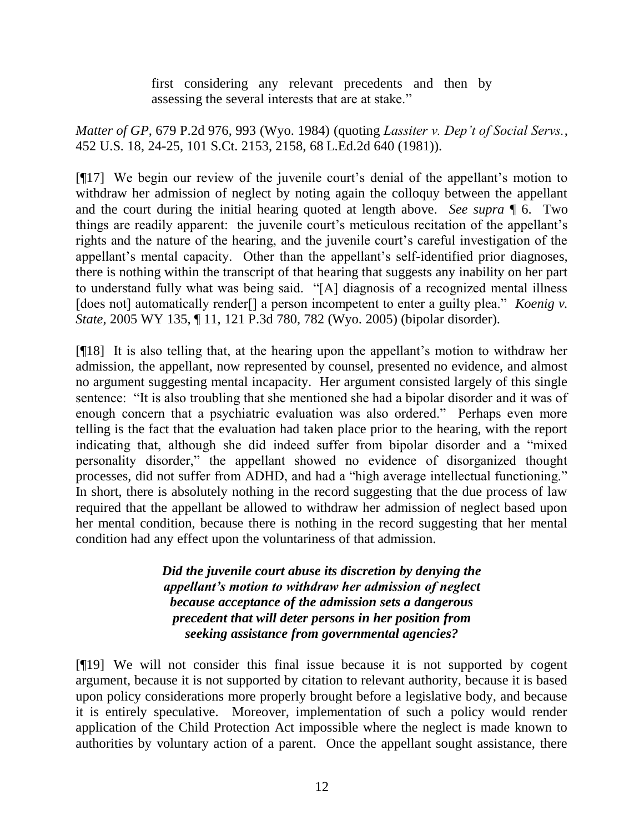first considering any relevant precedents and then by assessing the several interests that are at stake."

*Matter of GP*, 679 P.2d 976, 993 (Wyo. 1984) (quoting *Lassiter v. Dep't of Social Servs.*, 452 U.S. 18, 24-25, 101 S.Ct. 2153, 2158, 68 L.Ed.2d 640 (1981)).

[¶17] We begin our review of the juvenile court"s denial of the appellant"s motion to withdraw her admission of neglect by noting again the colloquy between the appellant and the court during the initial hearing quoted at length above. *See supra* ¶ 6. Two things are readily apparent: the juvenile court's meticulous recitation of the appellant's rights and the nature of the hearing, and the juvenile court's careful investigation of the appellant's mental capacity. Other than the appellant's self-identified prior diagnoses, there is nothing within the transcript of that hearing that suggests any inability on her part to understand fully what was being said. "[A] diagnosis of a recognized mental illness [does not] automatically render<sup>[]</sup> a person incompetent to enter a guilty plea." *Koenig v. State*, 2005 WY 135, ¶ 11, 121 P.3d 780, 782 (Wyo. 2005) (bipolar disorder).

[¶18] It is also telling that, at the hearing upon the appellant"s motion to withdraw her admission, the appellant, now represented by counsel, presented no evidence, and almost no argument suggesting mental incapacity. Her argument consisted largely of this single sentence: "It is also troubling that she mentioned she had a bipolar disorder and it was of enough concern that a psychiatric evaluation was also ordered." Perhaps even more telling is the fact that the evaluation had taken place prior to the hearing, with the report indicating that, although she did indeed suffer from bipolar disorder and a "mixed personality disorder," the appellant showed no evidence of disorganized thought processes, did not suffer from ADHD, and had a "high average intellectual functioning." In short, there is absolutely nothing in the record suggesting that the due process of law required that the appellant be allowed to withdraw her admission of neglect based upon her mental condition, because there is nothing in the record suggesting that her mental condition had any effect upon the voluntariness of that admission.

> *Did the juvenile court abuse its discretion by denying the appellant's motion to withdraw her admission of neglect because acceptance of the admission sets a dangerous precedent that will deter persons in her position from seeking assistance from governmental agencies?*

[¶19] We will not consider this final issue because it is not supported by cogent argument, because it is not supported by citation to relevant authority, because it is based upon policy considerations more properly brought before a legislative body, and because it is entirely speculative. Moreover, implementation of such a policy would render application of the Child Protection Act impossible where the neglect is made known to authorities by voluntary action of a parent. Once the appellant sought assistance, there